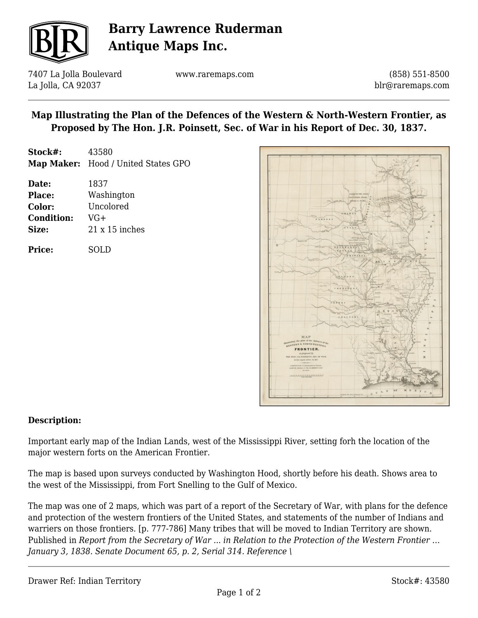

# **Barry Lawrence Ruderman Antique Maps Inc.**

7407 La Jolla Boulevard La Jolla, CA 92037

www.raremaps.com

(858) 551-8500 blr@raremaps.com

## **Map Illustrating the Plan of the Defences of the Western & North-Western Frontier, as Proposed by The Hon. J.R. Poinsett, Sec. of War in his Report of Dec. 30, 1837.**

| Stock#: | 43580                               |
|---------|-------------------------------------|
|         | Map Maker: Hood / United States GPO |

| Date:             | 1837                  |
|-------------------|-----------------------|
| <b>Place:</b>     | Washington            |
| Color:            | Uncolored             |
| <b>Condition:</b> | VG+                   |
| Size:             | $21 \times 15$ inches |
|                   |                       |

**Price:** SOLD



### **Description:**

Important early map of the Indian Lands, west of the Mississippi River, setting forh the location of the major western forts on the American Frontier.

The map is based upon surveys conducted by Washington Hood, shortly before his death. Shows area to the west of the Mississippi, from Fort Snelling to the Gulf of Mexico.

The map was one of 2 maps, which was part of a report of the Secretary of War, with plans for the defence and protection of the western frontiers of the United States, and statements of the number of Indians and warriers on those frontiers. [p. 777-786] Many tribes that will be moved to Indian Territory are shown. Published in *Report from the Secretary of War ... in Relation to the Protection of the Western Frontier … January 3, 1838. Senate Document 65, p. 2, Serial 314. Reference \*